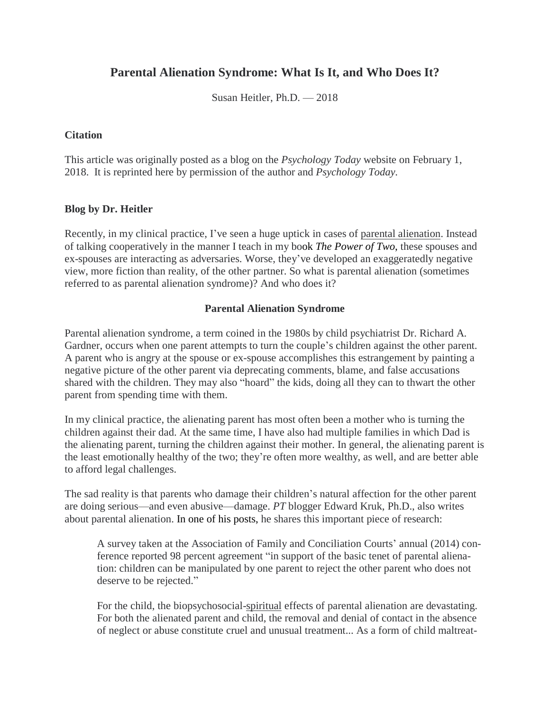# **Parental Alienation Syndrome: What Is It, and Who Does It?**

Susan Heitler, Ph.D. — 2018

#### **Citation**

This article was originally posted as a blog on the *Psychology Today* website on February 1, 2018. It is reprinted here by permission of the author and *Psychology Today.*

## **Blog by Dr. Heitler**

Recently, in my clinical practice, I've seen a huge uptick in cases of parental [alienation.](https://nam05.safelinks.protection.outlook.com/?url=https%3A%2F%2Fwww.psychologytoday.com%2Fintl%2Fbasics%2Fparental-alienation&data=02%7C01%7Cwilliam.bernet%40vumc.org%7Cb1c2729a7da44ba0492508d7dee563b8%7Cef57503014244ed8b83c12c533d879ab%7C0%7C0%7C637222949117334583&sdata=m6y4Cm8iydbaZmF2h7cJaFCHa9Pot3SkiT1ITOv8mZ8%3D&reserved=0) Instead of talking cooperatively in the manner I teach in my book *The Power of Two*, these spouses and ex-spouses are interacting as adversaries. Worse, they've developed an exaggeratedly negative view, more fiction than reality, of the other partner. So what is parental alienation (sometimes referred to as parental alienation syndrome)? And who does it?

## **Parental Alienation Syndrome**

Parental alienation syndrome, a term coined in the 1980s by child psychiatrist Dr. Richard A. Gardner, occurs when one parent attempts to turn the couple's children against the other parent. A parent who is angry at the spouse or ex-spouse accomplishes this estrangement by painting a negative picture of the other parent via deprecating comments, blame, and false accusations shared with the children. They may also "hoard" the kids, doing all they can to thwart the other parent from spending time with them.

In my clinical practice, the alienating parent has most often been a mother who is turning the children against their dad. At the same time, I have also had multiple families in which Dad is the alienating parent, turning the children against their mother. In general, the alienating parent is the least emotionally healthy of the two; they're often more wealthy, as well, and are better able to afford legal challenges.

The sad reality is that parents who damage their children's natural affection for the other parent are doing serious—and even abusive—damage. *PT* blogger Edward Kruk, Ph.D., also writes about parental alienation. In one of his posts, he shares this important piece of research:

A survey taken at the Association of Family and Conciliation Courts' annual (2014) conference reported 98 percent agreement "in support of the basic tenet of parental alienation: children can be manipulated by one parent to reject the other parent who does not deserve to be rejected."

For the child, the biopsychosocial[-spiritual](https://nam05.safelinks.protection.outlook.com/?url=https%3A%2F%2Fwww.psychologytoday.com%2Fintl%2Fbasics%2Fspirituality&data=02%7C01%7Cwilliam.bernet%40vumc.org%7Cb1c2729a7da44ba0492508d7dee563b8%7Cef57503014244ed8b83c12c533d879ab%7C0%7C0%7C637222949117354569&sdata=vbEkn9LFyNfeJaoR7o%2BLnsPbKmkLdU8zKbHnxCYXkSk%3D&reserved=0) effects of parental alienation are devastating. For both the alienated parent and child, the removal and denial of contact in the absence of neglect or abuse constitute cruel and unusual treatment... As a form of child maltreat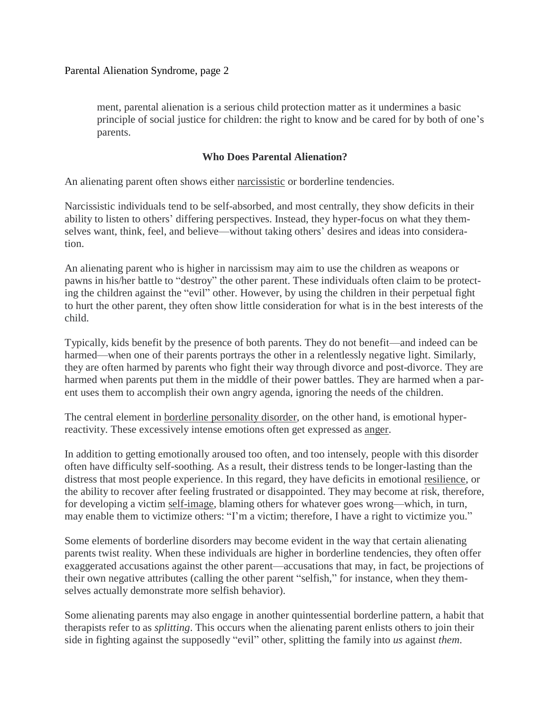Parental Alienation Syndrome, page 2

ment, parental alienation is a serious child protection matter as it undermines a basic principle of social justice for children: the right to know and be cared for by both of one's parents.

## **Who Does Parental Alienation?**

An alienating parent often shows either [narcissistic](https://nam05.safelinks.protection.outlook.com/?url=https%3A%2F%2Fwww.psychologytoday.com%2Fintl%2Fbasics%2Fnarcissism&data=02%7C01%7Cwilliam.bernet%40vumc.org%7Cb1c2729a7da44ba0492508d7dee563b8%7Cef57503014244ed8b83c12c533d879ab%7C0%7C0%7C637222949117364565&sdata=v4AcZeaMk%2F1UEb6MAI1oMmk83ZWDSS%2F6IqERXOFYaPU%3D&reserved=0) or borderline tendencies.

Narcissistic individuals tend to be self-absorbed, and most centrally, they show deficits in their ability to listen to others' differing perspectives. Instead, they hyper-focus on what they themselves want, think, feel, and believe—without taking others' desires and ideas into consideration.

An alienating parent who is higher in narcissism may aim to use the children as weapons or pawns in his/her battle to "destroy" the other parent. These individuals often claim to be protecting the children against the "evil" other. However, by using the children in their perpetual fight to hurt the other parent, they often show little consideration for what is in the best interests of the child.

Typically, kids benefit by the presence of both parents. They do not benefit—and indeed can be harmed—when one of their parents portrays the other in a relentlessly negative light. Similarly, they are often harmed by parents who fight their way through divorce and post-divorce. They are harmed when parents put them in the middle of their power battles. They are harmed when a parent uses them to accomplish their own angry agenda, ignoring the needs of the children.

The central element in borderline [personality](https://nam05.safelinks.protection.outlook.com/?url=https%3A%2F%2Fwww.psychologytoday.com%2Fintl%2Fconditions%2Fborderline-personality-disorder&data=02%7C01%7Cwilliam.bernet%40vumc.org%7Cb1c2729a7da44ba0492508d7dee563b8%7Cef57503014244ed8b83c12c533d879ab%7C0%7C0%7C637222949117364565&sdata=5lVDcAyyVol3kUtfMRHZYyPoIwSSZ3bFRbqw0%2FWHjtQ%3D&reserved=0) disorder, on the other hand, is emotional hyperreactivity. These excessively intense emotions often get expressed as [anger.](https://nam05.safelinks.protection.outlook.com/?url=https%3A%2F%2Fwww.psychologytoday.com%2Fintl%2Fbasics%2Fanger&data=02%7C01%7Cwilliam.bernet%40vumc.org%7Cb1c2729a7da44ba0492508d7dee563b8%7Cef57503014244ed8b83c12c533d879ab%7C0%7C0%7C637222949117374563&sdata=CC82HU6xw1QGeu5GqXJckgzTwitZXYHz3EupAlch3k0%3D&reserved=0)

In addition to getting emotionally aroused too often, and too intensely, people with this disorder often have difficulty self-soothing. As a result, their distress tends to be longer-lasting than the distress that most people experience. In this regard, they have deficits in emotional [resilience,](https://nam05.safelinks.protection.outlook.com/?url=https%3A%2F%2Fwww.psychologytoday.com%2Fintl%2Fbasics%2Fresilience&data=02%7C01%7Cwilliam.bernet%40vumc.org%7Cb1c2729a7da44ba0492508d7dee563b8%7Cef57503014244ed8b83c12c533d879ab%7C0%7C0%7C637222949117374563&sdata=uti2ZguXnKkgab%2BHmEDWOwsokGlv3IzJAy%2BiCrQz0KI%3D&reserved=0) or the ability to recover after feeling frustrated or disappointed. They may become at risk, therefore, for developing a victim [self-image,](https://nam05.safelinks.protection.outlook.com/?url=https%3A%2F%2Fwww.psychologytoday.com%2Fintl%2Fbasics%2Fidentity&data=02%7C01%7Cwilliam.bernet%40vumc.org%7Cb1c2729a7da44ba0492508d7dee563b8%7Cef57503014244ed8b83c12c533d879ab%7C0%7C0%7C637222949117384553&sdata=yBNb1ZNZfgIu%2BEqK10wHSPOF%2BBqs1tafeN8OD%2FlFehE%3D&reserved=0) blaming others for whatever goes wrong—which, in turn, may enable them to victimize others: "I'm a victim; therefore, I have a right to victimize you."

Some elements of borderline disorders may become evident in the way that certain alienating parents twist reality. When these individuals are higher in borderline tendencies, they often offer exaggerated accusations against the other parent—accusations that may, in fact, be projections of their own negative attributes (calling the other parent "selfish," for instance, when they themselves actually demonstrate more selfish behavior).

Some alienating parents may also engage in another quintessential borderline pattern, a habit that therapists refer to as *splitting*. This occurs when the alienating parent enlists others to join their side in fighting against the supposedly "evil" other, splitting the family into *us* against *them*.